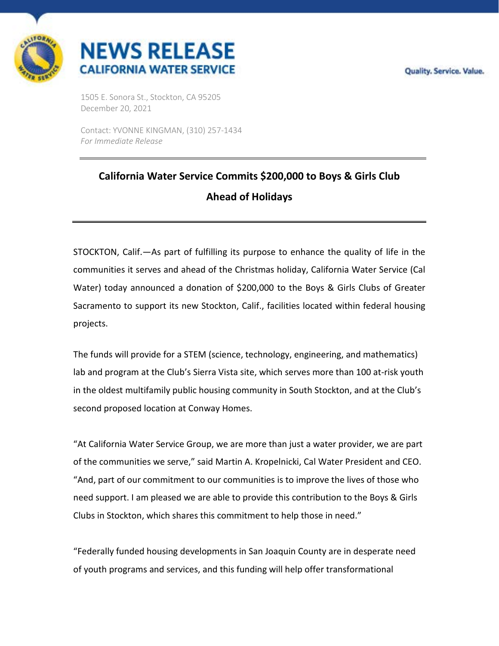



1505 E. Sonora St., Stockton, CA 95205 December 20, 2021

Contact: YVONNE KINGMAN, (310) 257-1434 *For Immediate Release*

## **California Water Service Commits \$200,000 to Boys & Girls Club Ahead of Holidays**

STOCKTON, Calif.—As part of fulfilling its purpose to enhance the quality of life in the communities it serves and ahead of the Christmas holiday, California Water Service (Cal Water) today announced a donation of \$200,000 to the Boys & Girls Clubs of Greater Sacramento to support its new Stockton, Calif., facilities located within federal housing projects.

The funds will provide for a STEM (science, technology, engineering, and mathematics) lab and program at the Club's Sierra Vista site, which serves more than 100 at-risk youth in the oldest multifamily public housing community in South Stockton, and at the Club's second proposed location at Conway Homes.

"At California Water Service Group, we are more than just a water provider, we are part of the communities we serve," said Martin A. Kropelnicki, Cal Water President and CEO. "And, part of our commitment to our communities is to improve the lives of those who need support. I am pleased we are able to provide this contribution to the Boys & Girls Clubs in Stockton, which shares this commitment to help those in need."

"Federally funded housing developments in San Joaquin County are in desperate need of youth programs and services, and this funding will help offer transformational